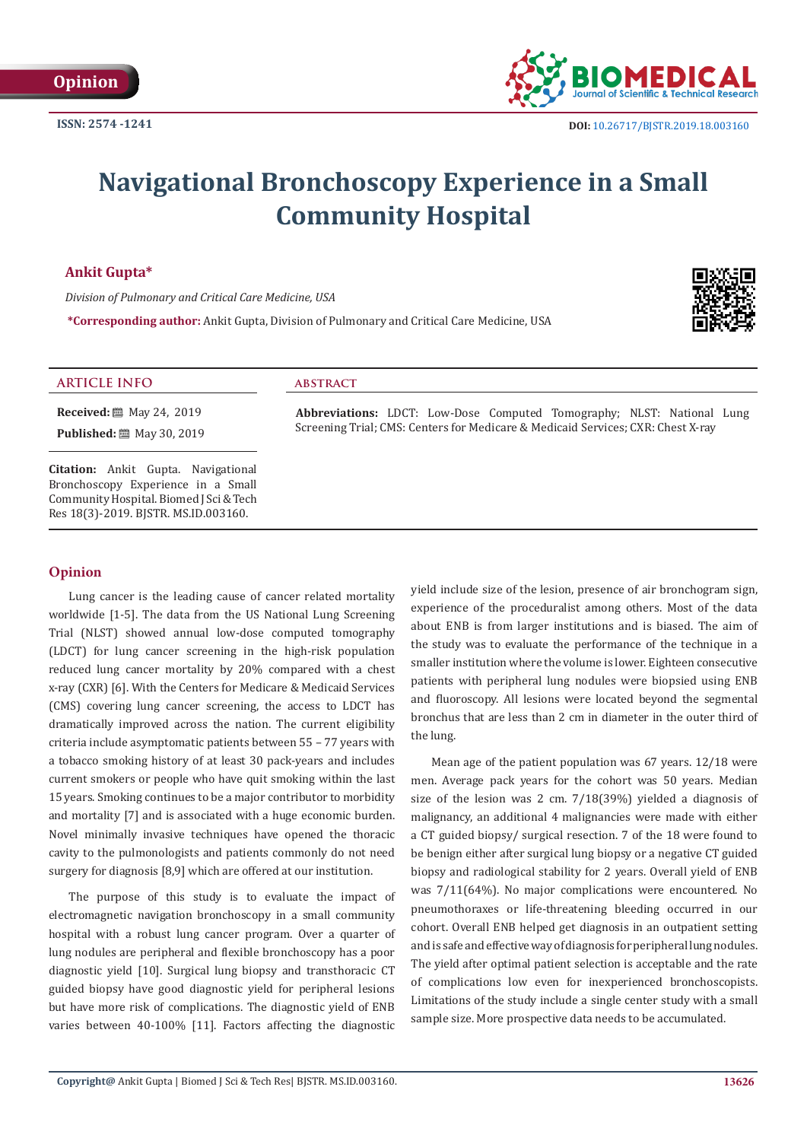

# **Navigational Bronchoscopy Experience in a Small Community Hospital**

the lung.

**Ankit Gupta\***

*Division of Pulmonary and Critical Care Medicine, USA*

**\*Corresponding author:** Ankit Gupta, Division of Pulmonary and Critical Care Medicine, USA



## **ARTICLE INFO abstract**

**Received:** 圖 May 24, 2019 **Published:** 圖 May 30, 2019

**Citation:** Ankit Gupta. Navigational Bronchoscopy Experience in a Small Community Hospital. Biomed J Sci & Tech Res 18(3)-2019. BJSTR. MS.ID.003160.

### **Opinion**

Lung cancer is the leading cause of cancer related mortality worldwide [1-5]. The data from the US National Lung Screening Trial (NLST) showed annual low-dose computed tomography (LDCT) for lung cancer screening in the high-risk population reduced lung cancer mortality by 20% compared with a chest x-ray (CXR) [6]. With the Centers for Medicare & Medicaid Services (CMS) covering lung cancer screening, the access to LDCT has dramatically improved across the nation. The current eligibility criteria include asymptomatic patients between 55 – 77 years with a tobacco smoking history of at least 30 pack-years and includes current smokers or people who have quit smoking within the last 15 years. Smoking continues to be a major contributor to morbidity and mortality [7] and is associated with a huge economic burden. Novel minimally invasive techniques have opened the thoracic cavity to the pulmonologists and patients commonly do not need surgery for diagnosis [8,9] which are offered at our institution.

The purpose of this study is to evaluate the impact of electromagnetic navigation bronchoscopy in a small community hospital with a robust lung cancer program. Over a quarter of lung nodules are peripheral and flexible bronchoscopy has a poor diagnostic yield [10]. Surgical lung biopsy and transthoracic CT guided biopsy have good diagnostic yield for peripheral lesions but have more risk of complications. The diagnostic yield of ENB varies between 40-100% [11]. Factors affecting the diagnostic

yield include size of the lesion, presence of air bronchogram sign, experience of the proceduralist among others. Most of the data about ENB is from larger institutions and is biased. The aim of the study was to evaluate the performance of the technique in a smaller institution where the volume is lower. Eighteen consecutive patients with peripheral lung nodules were biopsied using ENB and fluoroscopy. All lesions were located beyond the segmental bronchus that are less than 2 cm in diameter in the outer third of

**Abbreviations:** LDCT: Low-Dose Computed Tomography; NLST: National Lung Screening Trial; CMS: Centers for Medicare & Medicaid Services; CXR: Chest X-ray

> Mean age of the patient population was 67 years. 12/18 were men. Average pack years for the cohort was 50 years. Median size of the lesion was 2 cm. 7/18(39%) yielded a diagnosis of malignancy, an additional 4 malignancies were made with either a CT guided biopsy/ surgical resection. 7 of the 18 were found to be benign either after surgical lung biopsy or a negative CT guided biopsy and radiological stability for 2 years. Overall yield of ENB was 7/11(64%). No major complications were encountered. No pneumothoraxes or life-threatening bleeding occurred in our cohort. Overall ENB helped get diagnosis in an outpatient setting and is safe and effective way of diagnosis for peripheral lung nodules. The yield after optimal patient selection is acceptable and the rate of complications low even for inexperienced bronchoscopists. Limitations of the study include a single center study with a small sample size. More prospective data needs to be accumulated.